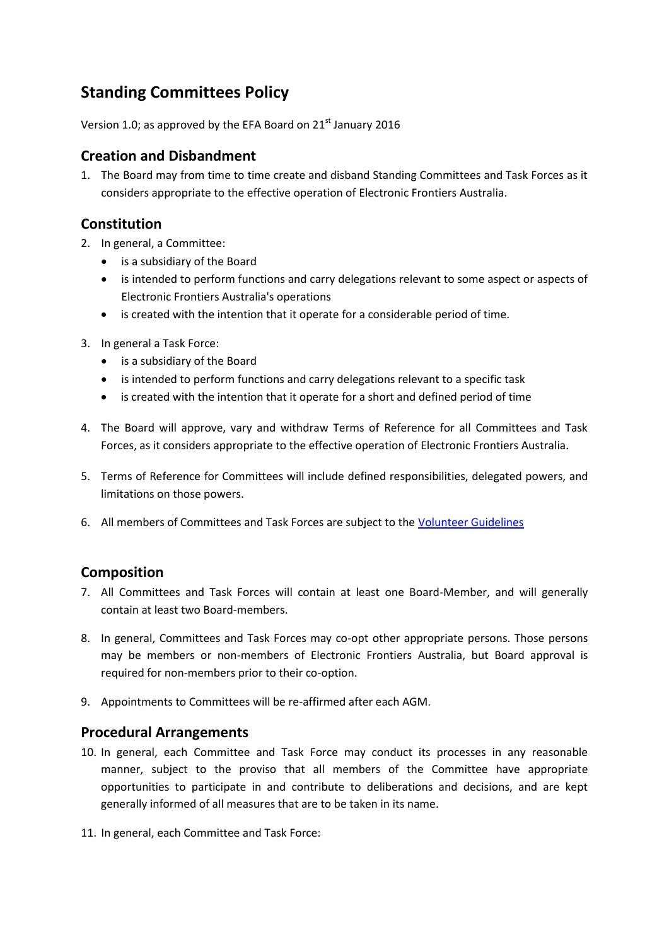# **Standing Committees Policy**

Version 1.0; as approved by the EFA Board on  $21<sup>st</sup>$  January 2016

### **Creation and Disbandment**

1. The Board may from time to time create and disband Standing Committees and Task Forces as it considers appropriate to the effective operation of Electronic Frontiers Australia.

## **Constitution**

- 2. In general, a Committee:
	- is a subsidiary of the Board
	- is intended to perform functions and carry delegations relevant to some aspect or aspects of Electronic Frontiers Australia's operations
	- is created with the intention that it operate for a considerable period of time.
- 3. In general a Task Force:
	- is a subsidiary of the Board
	- is intended to perform functions and carry delegations relevant to a specific task
	- is created with the intention that it operate for a short and defined period of time
- 4. The Board will approve, vary and withdraw Terms of Reference for all Committees and Task Forces, as it considers appropriate to the effective operation of Electronic Frontiers Australia.
- 5. Terms of Reference for Committees will include defined responsibilities, delegated powers, and limitations on those powers.
- 6. All members of Committees and Task Forces are subject to the [Volunteer Guidelines](https://www.efa.org.au/main/wp-content/uploads/2015/08/EFA-Volunteer-Guidelines-150812.pdf)

### **Composition**

- 7. All Committees and Task Forces will contain at least one Board-Member, and will generally contain at least two Board-members.
- 8. In general, Committees and Task Forces may co-opt other appropriate persons. Those persons may be members or non-members of Electronic Frontiers Australia, but Board approval is required for non-members prior to their co-option.
- 9. Appointments to Committees will be re-affirmed after each AGM.

### **Procedural Arrangements**

- 10. In general, each Committee and Task Force may conduct its processes in any reasonable manner, subject to the proviso that all members of the Committee have appropriate opportunities to participate in and contribute to deliberations and decisions, and are kept generally informed of all measures that are to be taken in its name.
- <span id="page-0-0"></span>11. In general, each Committee and Task Force: